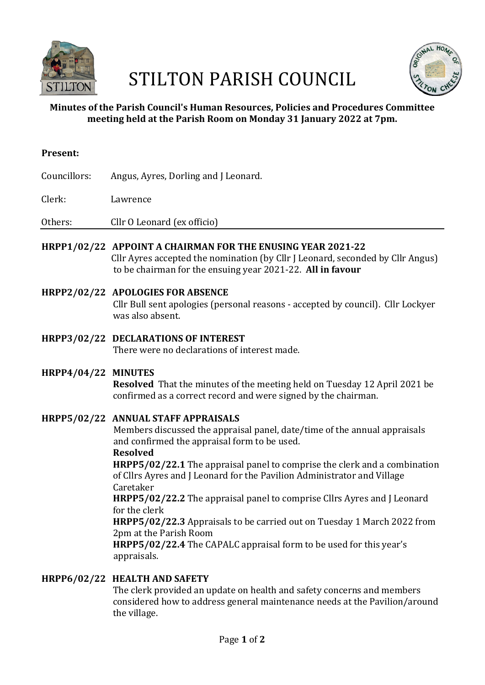

# STILTON PARISH COUNCIL



# **Minutes of the Parish Council's Human Resources, Policies and Procedures Committee meeting held at the Parish Room on Monday 31 January 2022 at 7pm.**

## **Present:**

Councillors: Angus, Ayres, Dorling and J Leonard.

### Clerk: Lawrence

Others: Cllr O Leonard (ex officio)

## HRPP1/02/22 APPOINT A CHAIRMAN FOR THE ENUSING YEAR 2021-22

Cllr Ayres accepted the nomination (by Cllr J Leonard, seconded by Cllr Angus) to be chairman for the ensuing year 2021-22. All in favour

- **HRPP2/02/22 APOLOGIES FOR ABSENCE** Cllr Bull sent apologies (personal reasons - accepted by council). Cllr Lockyer was also absent.
- **HRPP3/02/22 DECLARATIONS OF INTEREST** There were no declarations of interest made.
- **HRPP4/04/22 MINUTES**

**Resolved** That the minutes of the meeting held on Tuesday 12 April 2021 be confirmed as a correct record and were signed by the chairman.

## **HRPP5/02/22 ANNUAL STAFF APPRAISALS**

Members discussed the appraisal panel, date/time of the annual appraisals and confirmed the appraisal form to be used.

## **Resolved**

**HRPP5/02/22.1** The appraisal panel to comprise the clerk and a combination of Cllrs Ayres and J Leonard for the Pavilion Administrator and Village Caretaker

**HRPP5/02/22.2** The appraisal panel to comprise Cllrs Ayres and J Leonard for the clerk

**HRPP5/02/22.3** Appraisals to be carried out on Tuesday 1 March 2022 from 2pm at the Parish Room

**HRPP5/02/22.4** The CAPALC appraisal form to be used for this year's appraisals.

# **HRPP6/02/22 HEALTH AND SAFETY**

The clerk provided an update on health and safety concerns and members considered how to address general maintenance needs at the Pavilion/around the village.